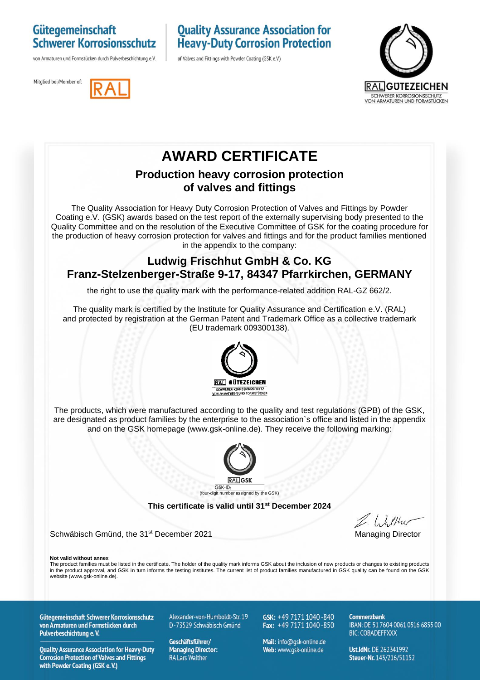### Gütegemeinschaft **Schwerer Korrosionsschutz**

von Armaturen und Formstücken durch Pulverbeschichtung e.V.

## **Quality Assurance Association for Heavy-Duty Corrosion Protection**

of Valves and Fittings with Powder Coating (GSK e.V.)





# **AWARD CERTIFICATE**

#### **Production heavy corrosion protection of valves and fittings**

The Quality Association for Heavy Duty Corrosion Protection of Valves and Fittings by Powder Coating e.V. (GSK) awards based on the test report of the externally supervising body presented to the Quality Committee and on the resolution of the Executive Committee of GSK for the coating procedure for the production of heavy corrosion protection for valves and fittings and for the product families mentioned in the appendix to the company:

#### **Ludwig Frischhut GmbH & Co. KG Franz-Stelzenberger-Straße 9-17, 84347 Pfarrkirchen, GERMANY**

the right to use the quality mark with the performance-related addition RAL-GZ 662/2.

The quality mark is certified by the Institute for Quality Assurance and Certification e.V. (RAL) and protected by registration at the German Patent and Trademark Office as a collective trademark (EU trademark 009300138).



The products, which were manufactured according to the quality and test regulations (GPB) of the GSK, are designated as product families by the enterprise to the association`s office and listed in the appendix and on the GSK homepage (www.gsk-online.de). They receive the following marking:



**This certificate is valid until 31st December 2024**

Schwäbisch Gmünd, the 31<sup>st</sup> December 2021 Managing Director

**Not valid without annex**

The product families must be listed in the certificate. The holder of the quality mark informs GSK about the inclusion of new products or changes to existing products in the product approval, and GSK in turn informs the testing institutes. The current list of product families manufactured in GSK quality can be found on the GSK website (www.gsk-online.de).

Gütegemeinschaft Schwerer Korrosionsschutz von Armaturen und Formstücken durch Pulverbeschichtung e.V.

**Quality Assurance Association for Heavy-Duty Corrosion Protection of Valves and Fittings** with Powder Coating (GSK e.V.)

Alexander-von-Humboldt-Str. 19 D-73529 Schwäbisch Gmünd

Geschäftsführer/ **Managing Director: RA Lars Walther** 

GSK: +49 7171 1040-840 Fax:  $+49\,7171\,1040\,850$ 

Mail: info@qsk-online.de Web: www.gsk-online.de

Commerzhank IBAN: DE 51 7604 0061 0516 6855 00 **BIC: COBADEFFXXX** 

Ust.IdNr. DE 262341992 Steuer-Nr. 143/216/51152